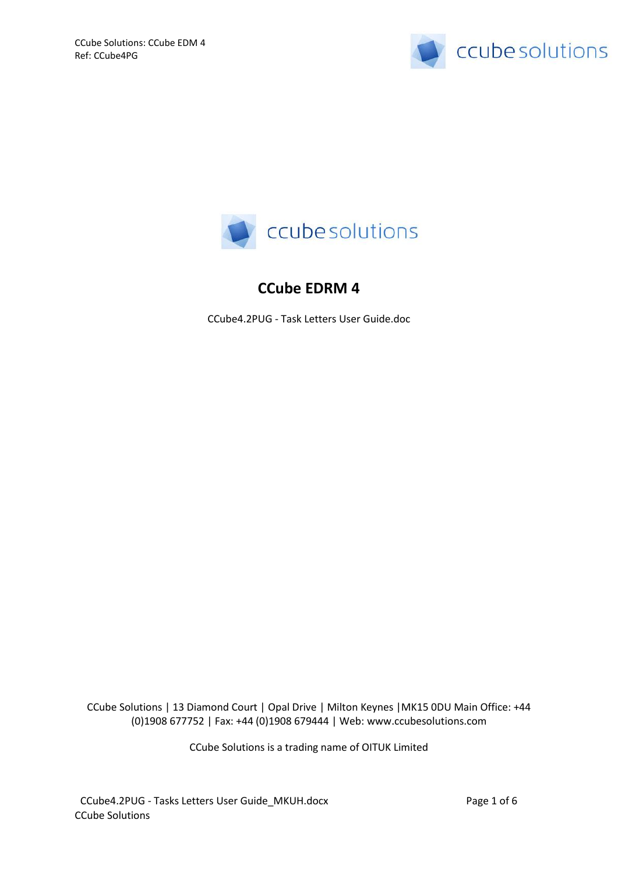



# **CCube EDRM 4**

CCube4.2PUG - Task Letters User Guide.doc

CCube Solutions | 13 Diamond Court | Opal Drive | Milton Keynes |MK15 0DU Main Office: +44 (0)1908 677752 | Fax: +44 (0)1908 679444 | Web: www.ccubesolutions.com

CCube Solutions is a trading name of OITUK Limited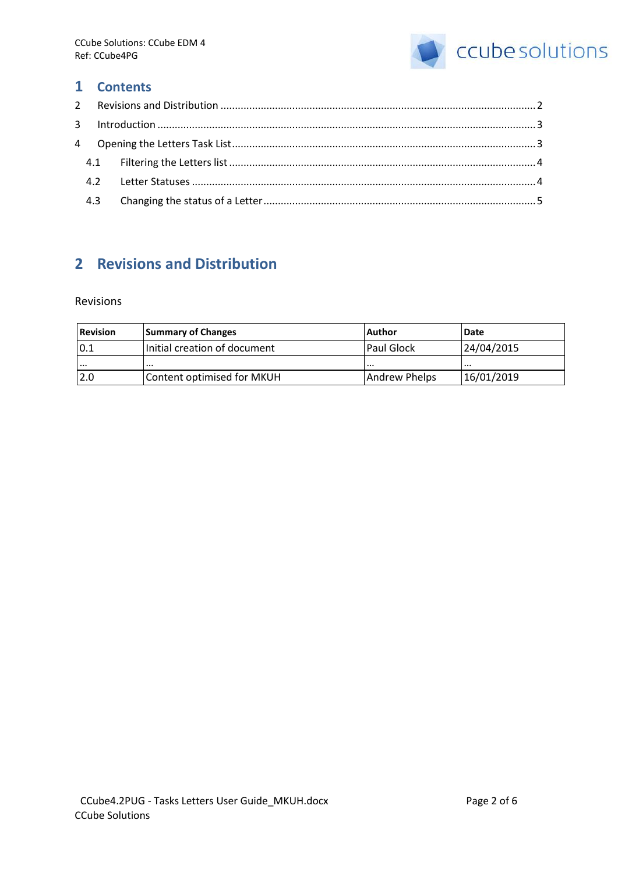

### **1 Contents**

# <span id="page-1-0"></span>**2 Revisions and Distribution**

#### Revisions

| Revision | <b>Summary of Changes</b>    | <b>Author</b>     | <b>IDate</b> |
|----------|------------------------------|-------------------|--------------|
| 0.1      | Initial creation of document | <b>Paul Glock</b> | 24/04/2015   |
| $\cdots$ | $\cdots$                     | .                 |              |
| 2.0      | Content optimised for MKUH   | Andrew Phelps     | 16/01/2019   |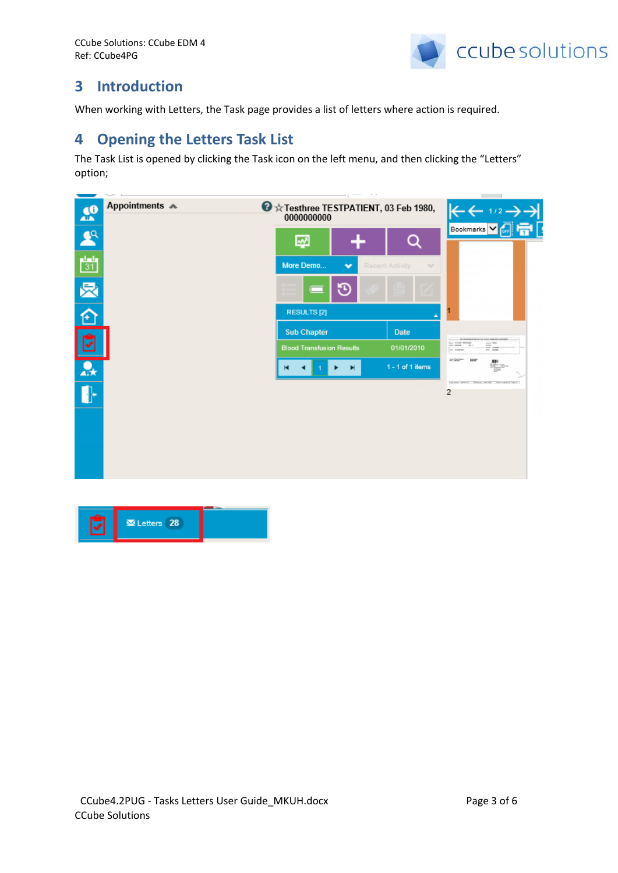

## <span id="page-2-0"></span>**3 Introduction**

<span id="page-2-1"></span>When working with Letters, the Task page provides a list of letters where action is required.

## **4 Opening the Letters Task List**

The Task List is opened by clicking the Task icon on the left menu, and then clicking the "Letters" option;



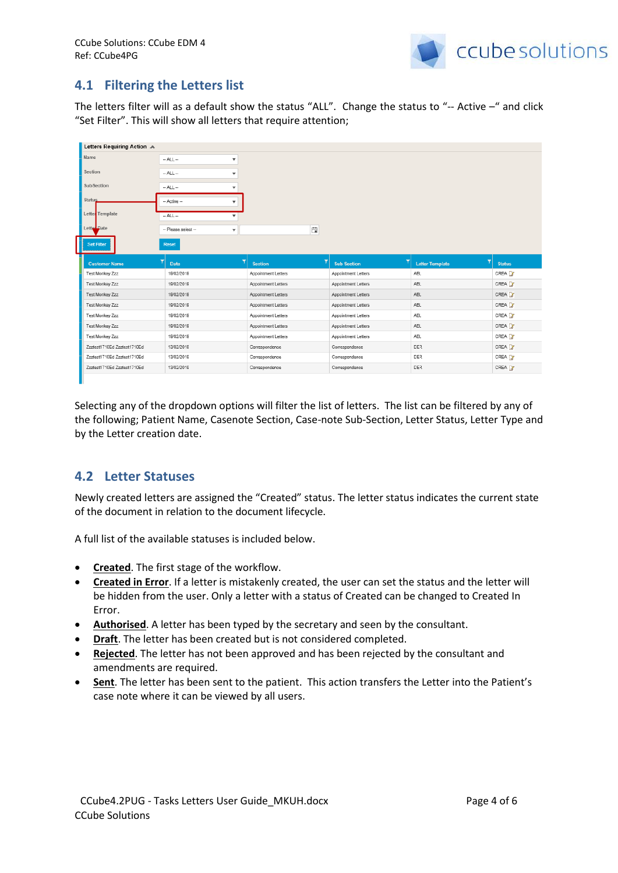

### <span id="page-3-0"></span>**4.1 Filtering the Letters list**

The letters filter will as a default show the status "ALL". Change the status to "-- Active –" and click "Set Filter". This will show all letters that require attention;

| Letters Requiring Action A  |                                                |                     |                     |                        |                   |
|-----------------------------|------------------------------------------------|---------------------|---------------------|------------------------|-------------------|
| Name                        | $-$ ALL $-$<br>$\overline{\phantom{a}}$        |                     |                     |                        |                   |
| Section                     | $-$ ALL $-$                                    |                     |                     |                        |                   |
| <b>SubSection</b>           | $-$ ALL $-$<br>$\overline{\phantom{a}}$        |                     |                     |                        |                   |
| <b>Status</b>               | -- Active --                                   |                     |                     |                        |                   |
| Letter Template             | $-$ ALL $-$<br>$\mathbf{v}$                    |                     |                     |                        |                   |
| Letter Date                 | -- Please select --<br>$\overline{\mathbf{v}}$ | 白                   |                     |                        |                   |
| Set Filter                  | Reset                                          |                     |                     |                        |                   |
|                             |                                                |                     |                     |                        |                   |
| <b>Customer Name</b>        | Date                                           | <b>Section</b>      | <b>Sub Section</b>  | <b>Letter Template</b> | <b>Status</b>     |
| Test Monkey Zzz             | 19/02/2019                                     | Appointment Letters | Appointment Letters | ABL.                   | CREA <sup>2</sup> |
| Test Monkey Zzz             | 19/02/2019                                     | Appointment Letters | Appointment Letters | ABL                    | CREA 3            |
| Test Monkey Zzz             | 19/02/2019                                     | Appointment Letters | Appointment Letters | ABL                    | CREA 3            |
| Test Monkey Zzz             | 19/02/2019                                     | Appointment Letters | Appointment Letters | ABL                    | CREA 3            |
|                             |                                                |                     |                     |                        |                   |
| Test Monkey Zzz             | 19/02/2019                                     | Appointment Letters | Appointment Letters | <b>ABL</b>             | CREA 3            |
| Test Monkey Zzz             | 19/02/2019                                     | Appointment Letters | Appointment Letters | ABL                    | CREA 3            |
| Test Monkey Zzz             | 19/02/2019                                     | Appointment Letters | Appointment Letters | ABL                    | CREA <sup>2</sup> |
| Zzztest1710Ed Zzztest1710Ed | 13/02/2019                                     | Correspondence      | Correspondence      | <b>DER</b>             | CREA <sup>2</sup> |
| Zzztest1710Ed Zzztest1710Ed | 13/02/2019                                     | Correspondence      | Correspondence      | DER                    | CREA 3            |
| Zzztest1710Ed Zzztest1710Ed | 13/02/2019                                     | Correspondence      | Correspondence      | <b>DER</b>             | CREA <b>3</b>     |

Selecting any of the dropdown options will filter the list of letters. The list can be filtered by any of the following; Patient Name, Casenote Section, Case-note Sub-Section, Letter Status, Letter Type and by the Letter creation date.

### <span id="page-3-1"></span>**4.2 Letter Statuses**

Newly created letters are assigned the "Created" status. The letter status indicates the current state of the document in relation to the document lifecycle.

A full list of the available statuses is included below.

- **Created**. The first stage of the workflow.
- **Created in Error**. If a letter is mistakenly created, the user can set the status and the letter will be hidden from the user. Only a letter with a status of Created can be changed to Created In Error.
- **Authorised**. A letter has been typed by the secretary and seen by the consultant.
- **•** Draft. The letter has been created but is not considered completed.
- **Rejected**. The letter has not been approved and has been rejected by the consultant and amendments are required.
- **Sent**. The letter has been sent to the patient. This action transfers the Letter into the Patient's case note where it can be viewed by all users.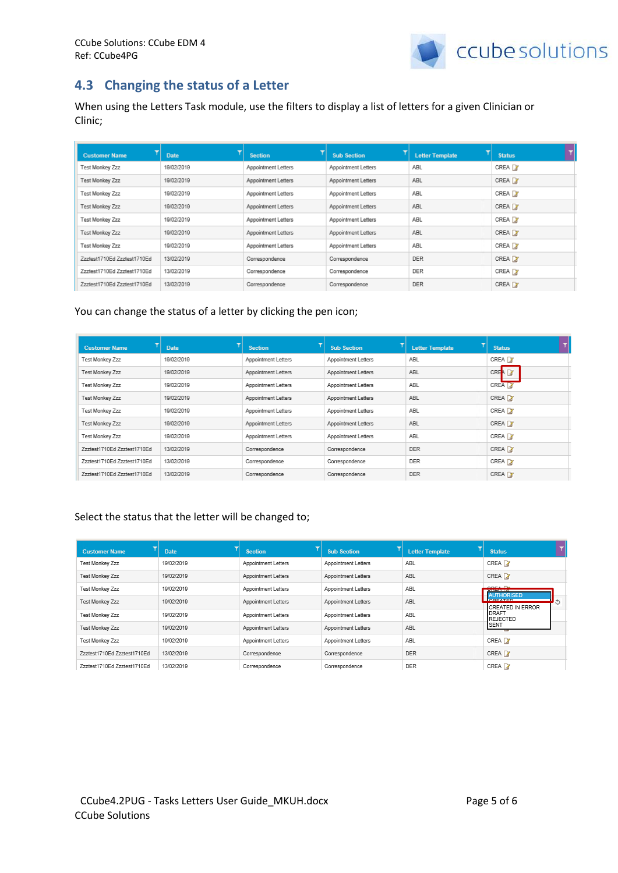

### <span id="page-4-0"></span>**4.3 Changing the status of a Letter**

When using the Letters Task module, use the filters to display a list of letters for a given Clinician or Clinic;

| <b>Customer Name</b>        | <b>Date</b> | <b>Section</b>      | <b>Sub Section</b>  | <b>Letter Template</b> | <b>Status</b>      |
|-----------------------------|-------------|---------------------|---------------------|------------------------|--------------------|
| Test Monkey Zzz             | 19/02/2019  | Appointment Letters | Appointment Letters | <b>ABL</b>             | CREA <sup>[3</sup> |
| Test Monkey Zzz             | 19/02/2019  | Appointment Letters | Appointment Letters | ABL                    | CREA <sup>2</sup>  |
| Test Monkey Zzz             | 19/02/2019  | Appointment Letters | Appointment Letters | ABL                    | CREA <sup>[3</sup> |
| Test Monkey Zzz             | 19/02/2019  | Appointment Letters | Appointment Letters | ABL                    | CREA <sup>2</sup>  |
| Test Monkey Zzz             | 19/02/2019  | Appointment Letters | Appointment Letters | ABL                    | CREA <sup>[3</sup> |
| Test Monkey Zzz             | 19/02/2019  | Appointment Letters | Appointment Letters | ABL                    | CREA <sup>2</sup>  |
| Test Monkey Zzz             | 19/02/2019  | Appointment Letters | Appointment Letters | ABL                    | CREA <sup>I</sup>  |
| Zzztest1710Ed Zzztest1710Ed | 13/02/2019  | Correspondence      | Correspondence      | <b>DER</b>             | CREA <sup>2</sup>  |
| Zzztest1710Ed Zzztest1710Ed | 13/02/2019  | Correspondence      | Correspondence      | <b>DER</b>             | CREA <sub>3</sub>  |
| Zzztest1710Ed Zzztest1710Ed | 13/02/2019  | Correspondence      | Correspondence      | <b>DER</b>             | CREA 3             |

#### You can change the status of a letter by clicking the pen icon;

| <b>Customer Name</b>        | <b>Date</b> | <b>Section</b>      | <b>Sub Section</b>  | <b>Letter Template</b> | <b>Status</b>      |
|-----------------------------|-------------|---------------------|---------------------|------------------------|--------------------|
| Test Monkey Zzz             | 19/02/2019  | Appointment Letters | Appointment Letters | ABL                    | CREA 3             |
| Test Monkey Zzz             | 19/02/2019  | Appointment Letters | Appointment Letters | ABL                    | CREA 2             |
| Test Monkey Zzz             | 19/02/2019  | Appointment Letters | Appointment Letters | ABL                    | CREA 3             |
| Test Monkey Zzz             | 19/02/2019  | Appointment Letters | Appointment Letters | ABL                    | CREA 3             |
| Test Monkey Zzz             | 19/02/2019  | Appointment Letters | Appointment Letters | ABL                    | CREA X             |
| Test Monkey Zzz             | 19/02/2019  | Appointment Letters | Appointment Letters | ABL                    | CREA 7             |
| Test Monkey Zzz             | 19/02/2019  | Appointment Letters | Appointment Letters | ABL                    | CREA <sup>[2</sup> |
| Zzztest1710Ed Zzztest1710Ed | 13/02/2019  | Correspondence      | Correspondence      | <b>DER</b>             | CREA X             |
| Zzztest1710Ed Zzztest1710Ed | 13/02/2019  | Correspondence      | Correspondence      | <b>DER</b>             | CREA <sub>2</sub>  |
| Zzztest1710Ed Zzztest1710Ed | 13/02/2019  | Correspondence      | Correspondence      | <b>DER</b>             | CREA 3             |

#### Select the status that the letter will be changed to;

| <b>Customer Name</b>        | <b>Date</b> | <b>Section</b>      | <b>Sub Section</b>  | <b>Letter Template</b> | <b>Status</b>                        |
|-----------------------------|-------------|---------------------|---------------------|------------------------|--------------------------------------|
| Test Monkey Zzz             | 19/02/2019  | Appointment Letters | Appointment Letters | ABL                    | CREA 2                               |
| Test Monkey Zzz             | 19/02/2019  | Appointment Letters | Appointment Letters | ABL                    | CREA 3                               |
| Test Monkey Zzz             | 19/02/2019  | Appointment Letters | Appointment Letters | ABL                    | <b>UNLIN 13</b><br><b>AUTHORISED</b> |
| Test Monkey Zzz             | 19/02/2019  | Appointment Letters | Appointment Letters | ABL                    | <b>ICREATED IN ERROR</b>             |
| Test Monkey Zzz             | 19/02/2019  | Appointment Letters | Appointment Letters | ABL                    | <b>IDRAFT</b><br>REJECTED            |
| Test Monkey Zzz             | 19/02/2019  | Appointment Letters | Appointment Letters | ABL                    | <b>SENT</b>                          |
| Test Monkey Zzz             | 19/02/2019  | Appointment Letters | Appointment Letters | ABL                    | CREA 3                               |
| Zzztest1710Ed Zzztest1710Ed | 13/02/2019  | Correspondence      | Correspondence      | <b>DER</b>             | CREA 3                               |
| Zzztest1710Ed Zzztest1710Ed | 13/02/2019  | Correspondence      | Correspondence      | <b>DER</b>             | CREA <sup>2</sup>                    |